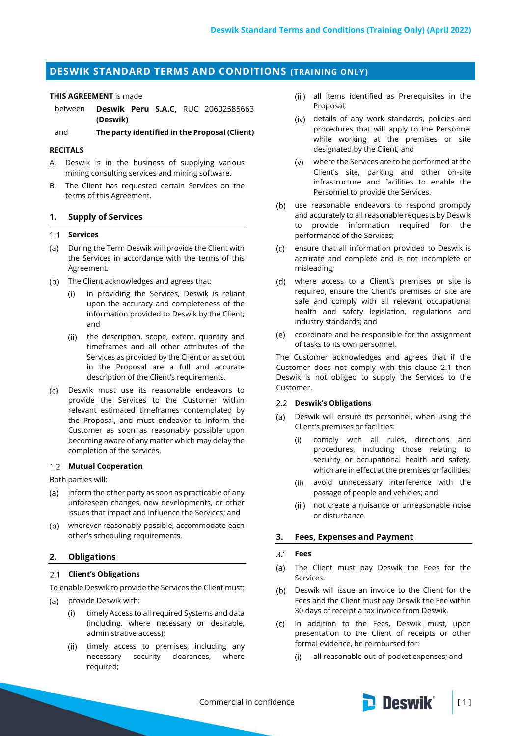# **DESWIK STANDARD TERMS AND CONDITIONS (TRAINING ONLY)**

#### **THIS AGREEMENT** is made

between **Deswik Peru S.A.C,** RUC 20602585663 **(Deswik)**

and **The party identified in the Proposal (Client)**

## **RECITALS**

- A. Deswik is in the business of supplying various mining consulting services and mining software.
- B. The Client has requested certain Services on the terms of this Agreement.

#### **1. Supply of Services**

## **Services**

- (a) During the Term Deswik will provide the Client with the Services in accordance with the terms of this Agreement.
- (b) The Client acknowledges and agrees that:
	- in providing the Services, Deswik is reliant  $(i)$ upon the accuracy and completeness of the information provided to Deswik by the Client; and
	- (ii) the description, scope, extent, quantity and timeframes and all other attributes of the Services as provided by the Client or as set out in the Proposal are a full and accurate description of the Client's requirements.
- Deswik must use its reasonable endeavors to provide the Services to the Customer within relevant estimated timeframes contemplated by the Proposal, and must endeavor to inform the Customer as soon as reasonably possible upon becoming aware of any matter which may delay the completion of the services.

## **Mutual Cooperation**

Both parties will:

- (a) inform the other party as soon as practicable of any unforeseen changes, new developments, or other issues that impact and influence the Services; and
- wherever reasonably possible, accommodate each other's scheduling requirements.

#### **2. Obligations**

## <span id="page-0-0"></span>**Client's Obligations**

To enable Deswik to provide the Services the Client must:

- $(a)$ provide Deswik with:
	- timely Access to all required Systems and data (including, where necessary or desirable, administrative access);
	- (ii) timely access to premises, including any necessary security clearances, where required;
- all items identified as Prerequisites in the Proposal;
- details of any work standards, policies and procedures that will apply to the Personnel while working at the premises or site designated by the Client; and
- where the Services are to be performed at the Client's site, parking and other on-site infrastructure and facilities to enable the Personnel to provide the Services.
- (b) use reasonable endeavors to respond promptly and accurately to all reasonable requests by Deswik to provide information required for the performance of the Services;
- ensure that all information provided to Deswik is  $(c)$ accurate and complete and is not incomplete or misleading;
- where access to a Client's premises or site is required, ensure the Client's premises or site are safe and comply with all relevant occupational health and safety legislation, regulations and industry standards; and
- coordinate and be responsible for the assignment  $(e)$ of tasks to its own personnel.

The Customer acknowledges and agrees that if the Customer does not comply with this clause [2.1](#page-0-0) then Deswik is not obliged to supply the Services to the Customer.

### **Deswik's Obligations**

- Deswik will ensure its personnel, when using the  $(a)$ Client's premises or facilities:
	- comply with all rules, directions and  $(i)$ procedures, including those relating to security or occupational health and safety, which are in effect at the premises or facilities;
	- (ii) avoid unnecessary interference with the passage of people and vehicles; and
	- (iii) not create a nuisance or unreasonable noise or disturbance.

### **3. Fees, Expenses and Payment**

#### $3.1$ **Fees**

- The Client must pay Deswik the Fees for the  $(a)$ Services.
- (b) Deswik will issue an invoice to the Client for the Fees and the Client must pay Deswik the Fee within 30 days of receipt a tax invoice from Deswik.
- In addition to the Fees, Deswik must, upon presentation to the Client of receipts or other formal evidence, be reimbursed for:
	- $(i)$ all reasonable out-of-pocket expenses; and

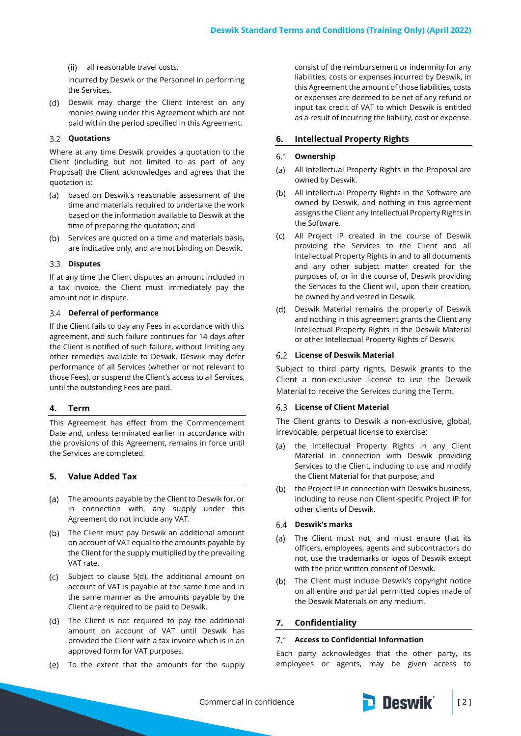all reasonable travel costs,

incurred by Deswik or the Personnel in performing the Services.

(d) Deswik may charge the Client Interest on any monies owing under this Agreement which are not paid within the period specified in this Agreement.

## **Quotations**

Where at any time Deswik provides a quotation to the Client (including but not limited to as part of any Proposal) the Client acknowledges and agrees that the quotation is:

- $(a)$ based on Deswik's reasonable assessment of the time and materials required to undertake the work based on the information available to Deswik at the time of preparing the quotation; and
- (b) Services are quoted on a time and materials basis, are indicative only, and are not binding on Deswik.

## **Disputes**

If at any time the Client disputes an amount included in a tax invoice, the Client must immediately pay the amount not in dispute.

#### **Deferral of performance**

If the Client fails to pay any Fees in accordance with this agreement, and such failure continues for 14 days after the Client is notified of such failure, without limiting any other remedies available to Deswik, Deswik may defer performance of all Services (whether or not relevant to those Fees), or suspend the Client's access to all Services, until the outstanding Fees are paid.

#### **4. Term**

This Agreement has effect from the Commencement Date and, unless terminated earlier in accordance with the provisions of this Agreement, remains in force until the Services are completed.

## **5. Value Added Tax**

- The amounts payable by the Client to Deswik for, or in connection with, any supply under this Agreement do not include any VAT.
- (b) The Client must pay Deswik an additional amount on account of VAT equal to the amounts payable by the Client for the supply multiplied by the prevailing VAT rate.
- (c) Subject to clause 5(d), the additional amount on account of VAT is payable at the same time and in the same manner as the amounts payable by the Client are required to be paid to Deswik.
- The Client is not required to pay the additional amount on account of VAT until Deswik has provided the Client with a tax invoice which is in an approved form for VAT purposes.
- (e) To the extent that the amounts for the supply

consist of the reimbursement or indemnity for any liabilities, costs or expenses incurred by Deswik, in this Agreement the amount of those liabilities, costs or expenses are deemed to be net of any refund or input tax credit of VAT to which Deswik is entitled as a result of incurring the liability, cost or expense.

#### **6. Intellectual Property Rights**

#### **Ownership**  $6.1$

- All Intellectual Property Rights in the Proposal are  $(a)$ owned by Deswik.
- All Intellectual Property Rights in the Software are owned by Deswik, and nothing in this agreement assigns the Client any Intellectual Property Rights in the Software.
- All Project IP created in the course of Deswik providing the Services to the Client and all Intellectual Property Rights in and to all documents and any other subject matter created for the purposes of, or in the course of, Deswik providing the Services to the Client will, upon their creation, be owned by and vested in Deswik.
- (d) Deswik Material remains the property of Deswik and nothing in this agreement grants the Client any Intellectual Property Rights in the Deswik Material or other Intellectual Property Rights of Deswik.

#### **License of Deswik Material**

Subject to third party rights, Deswik grants to the Client a non-exclusive license to use the Deswik Material to receive the Services during the Term.

### **License of Client Material**

The Client grants to Deswik a non-exclusive, global, irrevocable, perpetual license to exercise:

- the Intellectual Property Rights in any Client  $(a)$ Material in connection with Deswik providing Services to the Client, including to use and modify the Client Material for that purpose; and
- the Project IP in connection with Deswik's business,  $(b)$ including to reuse non Client-specific Project IP for other clients of Deswik.

## **Deswik's marks**

- (a) The Client must not, and must ensure that its officers, employees, agents and subcontractors do not, use the trademarks or logos of Deswik except with the prior written consent of Deswik.
- $(h)$ The Client must include Deswik's copyright notice on all entire and partial permitted copies made of the Deswik Materials on any medium.

### <span id="page-1-0"></span>**7. Confidentiality**

#### **Access to Confidential Information**

Each party acknowledges that the other party, its employees or agents, may be given access to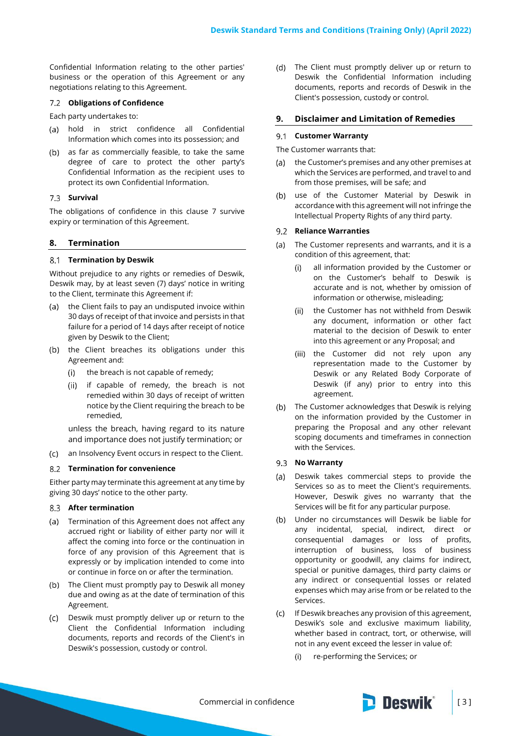Confidential Information relating to the other parties' business or the operation of this Agreement or any negotiations relating to this Agreement.

#### **Obligations of Confidence**

Each party undertakes to:

- (a) hold in strict confidence all Confidential Information which comes into its possession; and
- (b) as far as commercially feasible, to take the same degree of care to protect the other party's Confidential Information as the recipient uses to protect its own Confidential Information.

## 7.3 **Survival**

The obligations of confidence in this clause [7](#page-1-0) survive expiry or termination of this Agreement.

## **8. Termination**

#### **Termination by Deswik**

Without prejudice to any rights or remedies of Deswik, Deswik may, by at least seven (7) days' notice in writing to the Client, terminate this Agreement if:

- (a) the Client fails to pay an undisputed invoice within 30 days of receipt of that invoice and persists in that failure for a period of 14 days after receipt of notice given by Deswik to the Client;
- (b) the Client breaches its obligations under this Agreement and:
	- the breach is not capable of remedy;  $(i)$
	- $(ii)$ if capable of remedy, the breach is not remedied within 30 days of receipt of written notice by the Client requiring the breach to be remedied,

unless the breach, having regard to its nature and importance does not justify termination; or

an Insolvency Event occurs in respect to the Client.

#### **Termination for convenience**

Either party may terminate this agreement at any time by giving 30 days' notice to the other party.

#### **After termination**

- (a) Termination of this Agreement does not affect any accrued right or liability of either party nor will it affect the coming into force or the continuation in force of any provision of this Agreement that is expressly or by implication intended to come into or continue in force on or after the termination.
- (b) The Client must promptly pay to Deswik all money due and owing as at the date of termination of this Agreement.
- Deswik must promptly deliver up or return to the  $(c)$ Client the Confidential Information including documents, reports and records of the Client's in Deswik's possession, custody or control.

The Client must promptly deliver up or return to (d) Deswik the Confidential Information including documents, reports and records of Deswik in the Client's possession, custody or control.

## **9. Disclaimer and Limitation of Remedies**

## **Customer Warranty**

#### The Customer warrants that:

- the Customer's premises and any other premises at  $(A)$ which the Services are performed, and travel to and from those premises, will be safe; and
- use of the Customer Material by Deswik in  $(b)$ accordance with this agreement will not infringe the Intellectual Property Rights of any third party.

## **Reliance Warranties**

- $(a)$ The Customer represents and warrants, and it is a condition of this agreement, that:
	- all information provided by the Customer or  $(i)$ on the Customer's behalf to Deswik is accurate and is not, whether by omission of information or otherwise, misleading;
	- (ii) the Customer has not withheld from Deswik any document, information or other fact material to the decision of Deswik to enter into this agreement or any Proposal; and
	- (iii) the Customer did not rely upon any representation made to the Customer by Deswik or any Related Body Corporate of Deswik (if any) prior to entry into this agreement.
- (b) The Customer acknowledges that Deswik is relying on the information provided by the Customer in preparing the Proposal and any other relevant scoping documents and timeframes in connection with the Services.

#### 9.3 **No Warranty**

- Deswik takes commercial steps to provide the  $(a)$ Services so as to meet the Client's requirements. However, Deswik gives no warranty that the Services will be fit for any particular purpose.
- Under no circumstances will Deswik be liable for  $(b)$ any incidental, special, indirect, direct or consequential damages or loss of profits, interruption of business, loss of business opportunity or goodwill, any claims for indirect, special or punitive damages, third party claims or any indirect or consequential losses or related expenses which may arise from or be related to the Services.
- If Deswik breaches any provision of this agreement, Deswik's sole and exclusive maximum liability, whether based in contract, tort, or otherwise, will not in any event exceed the lesser in value of:
	- $(i)$ re-performing the Services; or

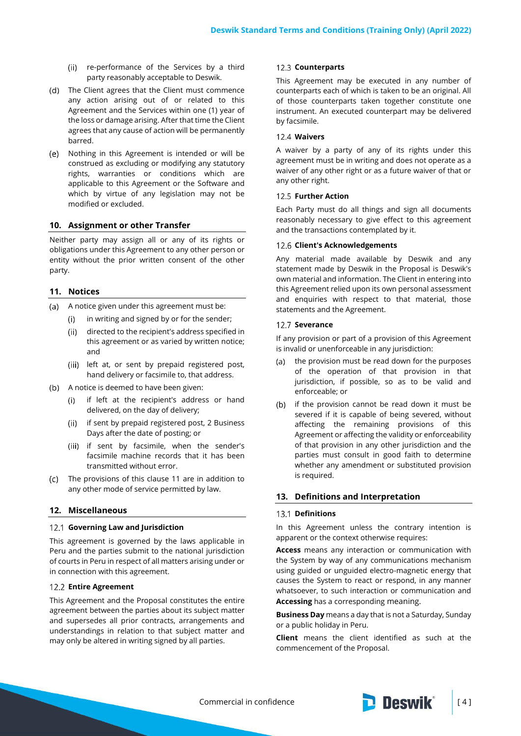- (ii) re-performance of the Services by a third party reasonably acceptable to Deswik.
- (d) The Client agrees that the Client must commence any action arising out of or related to this Agreement and the Services within one (1) year of the loss or damage arising. After that time the Client agrees that any cause of action will be permanently barred.
- Nothing in this Agreement is intended or will be construed as excluding or modifying any statutory rights, warranties or conditions which are applicable to this Agreement or the Software and which by virtue of any legislation may not be modified or excluded.

## **10. Assignment or other Transfer**

Neither party may assign all or any of its rights or obligations under this Agreement to any other person or entity without the prior written consent of the other party.

## <span id="page-3-0"></span>**11. Notices**

- A notice given under this agreement must be:
	- in writing and signed by or for the sender;  $(i)$
	- directed to the recipient's address specified in  $(ii)$ this agreement or as varied by written notice; and
	- (iii) left at, or sent by prepaid registered post, hand delivery or facsimile to, that address.
- (b) A notice is deemed to have been given:
	- if left at the recipient's address or hand  $(i)$ delivered, on the day of delivery;
	- if sent by prepaid registered post, 2 Business  $(ii)$ Days after the date of posting; or
	- (iii) if sent by facsimile, when the sender's facsimile machine records that it has been transmitted without error.
- The provisions of this clause [11](#page-3-0) are in addition to (c) any other mode of service permitted by law.

## **12. Miscellaneous**

#### **Governing Law and Jurisdiction**

This agreement is governed by the laws applicable in Peru and the parties submit to the national jurisdiction of courts in Peru in respect of all matters arising under or in connection with this agreement.

#### **Entire Agreement**

This Agreement and the Proposal constitutes the entire agreement between the parties about its subject matter and supersedes all prior contracts, arrangements and understandings in relation to that subject matter and may only be altered in writing signed by all parties.

#### 12.3 Counterparts

This Agreement may be executed in any number of counterparts each of which is taken to be an original. All of those counterparts taken together constitute one instrument. An executed counterpart may be delivered by facsimile.

#### **Waivers**

A waiver by a party of any of its rights under this agreement must be in writing and does not operate as a waiver of any other right or as a future waiver of that or any other right.

#### **12.5 Further Action**

Each Party must do all things and sign all documents reasonably necessary to give effect to this agreement and the transactions contemplated by it.

## **Client's Acknowledgements**

Any material made available by Deswik and any statement made by Deswik in the Proposal is Deswik's own material and information. The Client in entering into this Agreement relied upon its own personal assessment and enquiries with respect to that material, those statements and the Agreement.

#### 12.7 Severance

If any provision or part of a provision of this Agreement is invalid or unenforceable in any jurisdiction:

- the provision must be read down for the purposes  $(a)$ of the operation of that provision in that jurisdiction, if possible, so as to be valid and enforceable; or
- (b) if the provision cannot be read down it must be severed if it is capable of being severed, without affecting the remaining provisions of this Agreement or affecting the validity or enforceability of that provision in any other jurisdiction and the parties must consult in good faith to determine whether any amendment or substituted provision is required.

#### **13. Definitions and Interpretation**

## 13.1 **Definitions**

In this Agreement unless the contrary intention is apparent or the context otherwise requires:

**Access** means any interaction or communication with the System by way of any communications mechanism using guided or unguided electro-magnetic energy that causes the System to react or respond, in any manner whatsoever, to such interaction or communication and **Accessing** has a corresponding meaning.

**Business Day** means a day that is not a Saturday, Sunday or a public holiday in Peru.

**Client** means the client identified as such at the commencement of the Proposal.

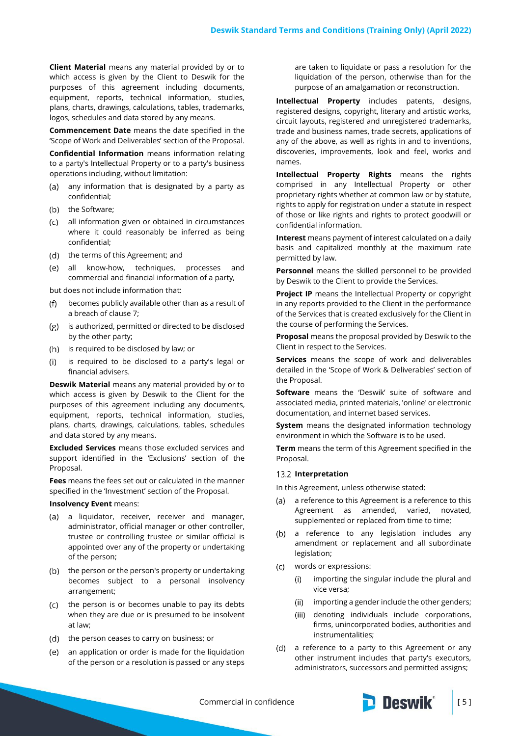**Client Material** means any material provided by or to which access is given by the Client to Deswik for the purposes of this agreement including documents, equipment, reports, technical information, studies, plans, charts, drawings, calculations, tables, trademarks, logos, schedules and data stored by any means.

**Commencement Date** means the date specified in the 'Scope of Work and Deliverables' section of the Proposal.

**Confidential Information** means information relating to a party's Intellectual Property or to a party's business operations including, without limitation:

- (a) any information that is designated by a party as confidential;
- (b) the Software;
- $\left( c\right)$ all information given or obtained in circumstances where it could reasonably be inferred as being confidential;
- (d) the terms of this Agreement; and
- all know-how, techniques, processes and commercial and financial information of a party,

but does not include information that:

- becomes publicly available other than as a result of  $(f)$ a breach of clause [7;](#page-1-0)
- $(g)$ is authorized, permitted or directed to be disclosed by the other party;
- (h) is required to be disclosed by law; or
- is required to be disclosed to a party's legal or  $(i)$ financial advisers.

**Deswik Material** means any material provided by or to which access is given by Deswik to the Client for the purposes of this agreement including any documents, equipment, reports, technical information, studies, plans, charts, drawings, calculations, tables, schedules and data stored by any means.

**Excluded Services** means those excluded services and support identified in the 'Exclusions' section of the Proposal.

**Fees** means the fees set out or calculated in the manner specified in the 'Investment' section of the Proposal.

#### **Insolvency Event** means:

- (a) a liquidator, receiver, receiver and manager, administrator, official manager or other controller, trustee or controlling trustee or similar official is appointed over any of the property or undertaking of the person;
- (b) the person or the person's property or undertaking becomes subject to a personal insolvency arrangement;
- (c) the person is or becomes unable to pay its debts when they are due or is presumed to be insolvent at law;
- (d) the person ceases to carry on business; or
- an application or order is made for the liquidation  $(e)$ of the person or a resolution is passed or any steps

are taken to liquidate or pass a resolution for the liquidation of the person, otherwise than for the purpose of an amalgamation or reconstruction.

**Intellectual Property** includes patents, designs, registered designs, copyright, literary and artistic works, circuit layouts, registered and unregistered trademarks, trade and business names, trade secrets, applications of any of the above, as well as rights in and to inventions, discoveries, improvements, look and feel, works and names.

**Intellectual Property Rights** means the rights comprised in any Intellectual Property or other proprietary rights whether at common law or by statute, rights to apply for registration under a statute in respect of those or like rights and rights to protect goodwill or confidential information.

**Interest** means payment of interest calculated on a daily basis and capitalized monthly at the maximum rate permitted by law.

**Personnel** means the skilled personnel to be provided by Deswik to the Client to provide the Services.

**Project IP** means the Intellectual Property or copyright in any reports provided to the Client in the performance of the Services that is created exclusively for the Client in the course of performing the Services.

**Proposal** means the proposal provided by Deswik to the Client in respect to the Services.

**Services** means the scope of work and deliverables detailed in the 'Scope of Work & Deliverables' section of the Proposal.

**Software** means the 'Deswik' suite of software and associated media, printed materials, 'online' or electronic documentation, and internet based services.

**System** means the designated information technology environment in which the Software is to be used.

**Term** means the term of this Agreement specified in the Proposal.

#### 13.2 Interpretation

In this Agreement, unless otherwise stated:

- a reference to this Agreement is a reference to this  $(a)$ Agreement as amended, varied, novated, supplemented or replaced from time to time;
- (b) a reference to any legislation includes any amendment or replacement and all subordinate legislation;
- words or expressions:
	- importing the singular include the plural and  $(i)$ vice versa;
	- (ii) importing a gender include the other genders;
	- denoting individuals include corporations, firms, unincorporated bodies, authorities and instrumentalities;
- (d) a reference to a party to this Agreement or any other instrument includes that party's executors, administrators, successors and permitted assigns;